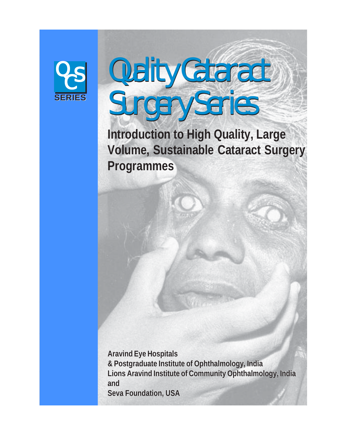

the control of the control of the control of the control of the control of the control of the control of the control of the control of the control of the control of the control of the control of the control of the control the control of the control of the control of the control of the control of the control of the control of the control of the control of the control of the control of the control of the control of the control of the control the control of the control of the control of the control of the control of the control of the control of the control of the control of the control of the control of the control of the control of the control of the control the contract of the contract of the contract of the contract of the contract of the contract of the contract of the control of the control of the control of the control of the control of the control of the control of the control of the control of the control of the control of the control of the control of the control of the control the contract of the contract of the contract of the contract of the contract of the contract of the contract of the contract of the contract of the contract of the contract of the contract of the contract of the contract of the contract of the contract of the contract of the contract of the contract of the contract of the contract of the contract of the contract of the contract of the contract of the contract of the contract of the contract of the contract of the contract of the contract of the contract of the contract of the contract of the contract of the contract of the contract of the contract of the contract of the contract of the contract of the contract of the contract of the contract of the contract of the contract of the contract of the contract of the contract of the contract of the contract of the contract of the contract of the contract of the contract of the contract of **这个人都不能在这个人的时候,我们也不能在这个人的时候,我们也不能在这个人的时候,我们 这个人都不能在这个人的时候,我们也不能在这个人的时候,我们也不能在这个人的时候,我们** the contract of the contract of the contract of the contract of the contract of the contract of the contract of **这个人都不能在这个人的时候,我们也不能在这个人的时候,我们也不能在这个人的时候,我们 这个人都不能在这个人的时候,我们也不能在这个人的时候,我们也不能在这个人的时候,我们 这个人都不能在这个人的时候,我们也不能在这个人的时候,我们也不能在这个人的时候,我们 这个人都不能在这个人的时候,我们也不能在这个人的时候,我们也不能在这个人的时候,我们 这个人都不能在这个人的时候,我们也不能在这个人的时候,我们也不能在这个人的时候,我们 这个人都不能在这个人的时候,我们也不能在这个人的时候,我们也不能在这个人的时候,我们** the contract of the contract of the contract of the contract of the contract of the contract of the contract of **这个人都不能在这个人的时候,我们也不能在这个人的时候,我们也不能在这个人的时候,我们 这个人都不能在这个人的时候,我们也不能在这个人的时候,我们也不能在这个人的时候,我们 这个人都不能在这个人的时候,我们也不能在这个人的时候,我们也不能在这个人的时候,我们** the contract of the contract of the contract of the contract of the contract of the contract of the contract of **这个人都不能在这个人的时候,我们也不能在这个人的时候,我们也不能在这个人的时候,我们 这个人都不能在这个人的时候,我们也不能在这个人的时候,我们也不能在这个人的时候,我们 这个人都不能在这个人的时候,我们也不能在这个人的时候,我们也不能在这个人的时候,我们 这个人都不能在这个人的时候,我们也不能在这个人的时候,我们也不能在这个人的时候,我们 这个人都不能在这个人的时候,我们也不能在这个人的时候,我们也不能在这个人的时候,我们 这个人都不能在这个人的时候,我们也不能在这个人的时候,我们也不能在这个人的时候,我们** the contract of the contract of the contract of the contract of the contract of the contract of the contract of **这个人都不能在这个人的时候,我们也不能在这个人的时候,我们也不能在这个人的时候,我们** the contract of the contract of the contract of the contract of the contract of the contract of the contract of the contract of the contract of the contract of the contract of the contract of the contract of the contract of the contract of the contract of the contract of the contract of the contract of the contract of the contract of the contract of the contract of the contract of the contract of the contract of the contract of the contract of the contract of the contract of the contract of the contract of the contract of the contract of the contract of the contract of the contract of the contract of the contract of the contract of the contract of the contract of the contract of the contract of the contract of the contract of the contract of the contract of the contract of the contract of the contract of the contract of the contract of the contract of the contract of the contract of the contract of the contract of the contract of the contract of the contract of the contract of the contract of the contract of the contract of the contract of the contract of the contract of the contract of the contract of the contract of the contract of the contract of the contract of the contract of the contract of the contract of the contract of the contract of the contract of the contract of the contract of the contract of

<u> London de la contrada de la contrada de la contrada de la contrada de la contrada de la contrada de la contrad</u> **这个人都不能在这个人的时候,我们也不能在这个人的时候,我们也不能在这个人的时候,我们 这个人都不能在这个人的时候,我们也不能在这个人的时候,我们也不能在这个人的时候,我们** the contract of the contract of the contract of the contract of the contract of the contract of the contract of **这个人都不能在这个人的时候,我们也不能在这个人的时候,我们也不能在这个人的时候,我们** 

# Quality Cataract Surgery Series **Surgery Series**<br>
Introduction to High Quality, La<br>
Volume, Sustainable Cataract S<br>
Programmes<br>
Aravind Eye Hospitals<br>
A Postgraduate Institute of Ophthalmology, India<br>
Lions Aravind Institute of Community Ophthalmology<br>
S Surgery Series

**Introduction to High Quality, Large Volume, Sustainable Cataract Surgery Programmes**

**Aravind Eye Hospitals & Postgraduate Institute of Ophthalmology, India Aravind Eye Hospitals& Postgraduate Institute of Ophthalmology, India Lions Aravind Institute of Community Ophthalmology, India Lions Aravind Institute of Community Ophthalmology, India and and Seva Foundation, USA**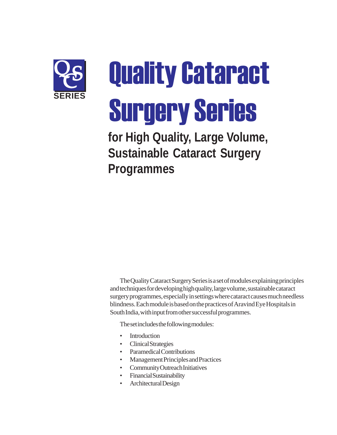

**Quality Cataract Surgery Series** 

**for High Quality, Large Volume, Sustainable Cataract Surgery Programmes**

The Quality Cataract Surgery Series is a set of modules explaining principles and techniques for developing high quality, large volume, sustainable cataract surgery programmes, especially in settings where cataract causes much needless blindness. Each module is based on the practices of Aravind Eye Hospitals in South India, with input from other successful programmes.

The set includes the following modules:

- Introduction
- Clinical Strategies
- Paramedical Contributions
- Management Principles and Practices
- Community Outreach Initiatives
- Financial Sustainability
- Architectural Design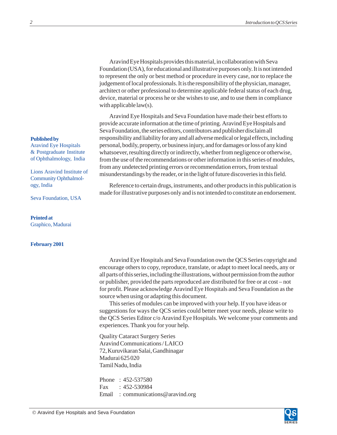Aravind Eye Hospitals provides this material, in collaboration with Seva Foundation (USA), for educational and illustrative purposes only. It is not intended to represent the only or best method or procedure in every case, nor to replace the judgement of local professionals. It is the responsibility of the physician, manager, architect or other professional to determine applicable federal status of each drug, device, material or process he or she wishes to use, and to use them in compliance with applicable law(s).

Aravind Eye Hospitals and Seva Foundation have made their best efforts to provide accurate information at the time of printing. Aravind Eye Hospitals and Seva Foundation, the series editors, contributors and publisher disclaim all responsibility and liability for any and all adverse medical or legal effects, including personal, bodily, property, or business injury, and for damages or loss of any kind whatsoever, resulting directly or indirectly, whether from negligence or otherwise, from the use of the recommendations or other information in this series of modules, from any undetected printing errors or recommendation errors, from textual misunderstandings by the reader, or in the light of future discoveries in this field.

Reference to certain drugs, instruments, and other products in this publication is made for illustrative purposes only and is not intended to constitute an endorsement.

**Published by**

Aravind Eye Hospitals & Postgraduate Institute of Ophthalmology, India

Lions Aravind Institute of Community Ophthalmology, India

Seva Foundation, USA

**Printed at** Graphico, Madurai

### **February 2001**

Aravind Eye Hospitals and Seva Foundation own the QCS Series copyright and encourage others to copy, reproduce, translate, or adapt to meet local needs, any or all parts of this series, including the illustrations, without permission from the author or publisher, provided the parts reproduced are distributed for free or at cost – not for profit. Please acknowledge Aravind Eye Hospitals and Seva Foundation as the source when using or adapting this document.

This series of modules can be improved with your help. If you have ideas or suggestions for ways the QCS series could better meet your needs, please write to the QCS Series Editor c/o Aravind Eye Hospitals. We welcome your comments and experiences. Thank you for your help.

Quality Cataract Surgery Series Aravind Communications / LAICO 72, Kuruvikaran Salai, Gandhinagar Madurai 625 020 Tamil Nadu, India

Phone : 452-537580 Fax : 452-530984 Email : communications@aravind.org

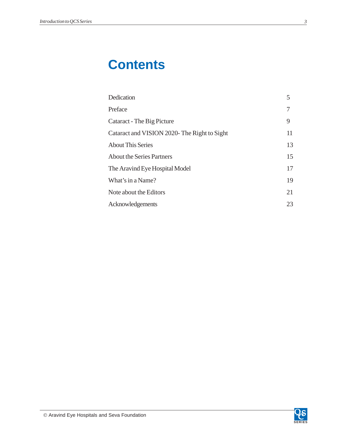# **Contents**

| Dedication                                  | 5  |
|---------------------------------------------|----|
| Preface                                     | 7  |
| Cataract - The Big Picture                  | 9  |
| Cataract and VISION 2020-The Right to Sight | 11 |
| <b>About This Series</b>                    | 13 |
| <b>About the Series Partners</b>            | 15 |
| The Aravind Eye Hospital Model              | 17 |
| What's in a Name?                           | 19 |
| Note about the Editors                      | 21 |
| Acknowledgements                            | 23 |

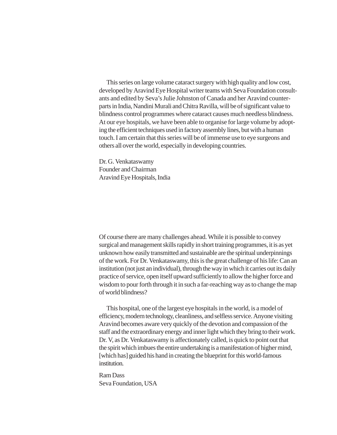This series on large volume cataract surgery with high quality and low cost, developed by Aravind Eye Hospital writer teams with Seva Foundation consultants and edited by Seva's Julie Johnston of Canada and her Aravind counterparts in India, Nandini Murali and Chitra Ravilla, will be of significant value to blindness control programmes where cataract causes much needless blindness. At our eye hospitals, we have been able to organise for large volume by adopting the efficient techniques used in factory assembly lines, but with a human touch. I am certain that this series will be of immense use to eye surgeons and others all over the world, especially in developing countries.

Dr. G. Venkataswamy Founder and Chairman Aravind Eye Hospitals, India

Of course there are many challenges ahead. While it is possible to convey surgical and management skills rapidly in short training programmes, it is as yet unknown how easily transmitted and sustainable are the spiritual underpinnings of the work. For Dr. Venkataswamy, this is the great challenge of his life: Can an institution (not just an individual), through the way in which it carries out its daily practice of service, open itself upward sufficiently to allow the higher force and wisdom to pour forth through it in such a far-reaching way as to change the map of world blindness?

This hospital, one of the largest eye hospitals in the world, is a model of efficiency, modern technology, cleanliness, and selfless service. Anyone visiting Aravind becomes aware very quickly of the devotion and compassion of the staff and the extraordinary energy and inner light which they bring to their work. Dr. V, as Dr. Venkataswamy is affectionately called, is quick to point out that the spirit which imbues the entire undertaking is a manifestation of higher mind, [which has] guided his hand in creating the blueprint for this world-famous institution.

Ram Dass Seva Foundation, USA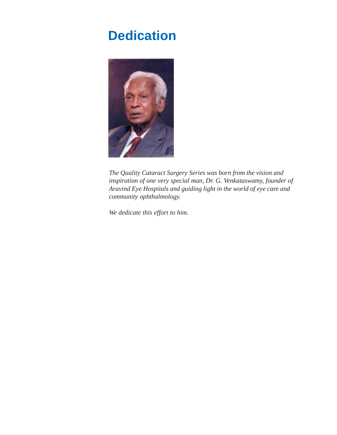# <span id="page-5-0"></span>**Dedication**



*The Quality Cataract Surgery Series was born from the vision and inspiration of one very special man, Dr. G. Venkataswamy, founder of Aravind Eye Hospitals and guiding light in the world of eye care and community ophthalmology.*

*We dedicate this effort to him.*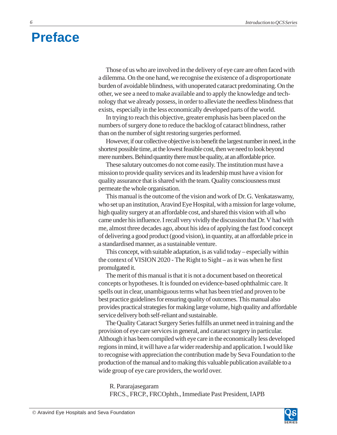# <span id="page-6-0"></span>**Preface**

Those of us who are involved in the delivery of eye care are often faced with a dilemma. On the one hand, we recognise the existence of a disproportionate burden of avoidable blindness, with unoperated cataract predominating. On the other, we see a need to make available and to apply the knowledge and technology that we already possess, in order to alleviate the needless blindness that exists, especially in the less economically developed parts of the world.

In trying to reach this objective, greater emphasis has been placed on the numbers of surgery done to reduce the backlog of cataract blindness, rather than on the number of sight restoring surgeries performed.

However, if our collective objective is to benefit the largest number in need, in the shortest possible time, at the lowest feasible cost, then we need to look beyond mere numbers. Behind quantity there must be quality, at an affordable price.

These salutary outcomes do not come easily. The institution must have a mission to provide quality services and its leadership must have a vision for quality assurance that is shared with the team. Quality consciousness must permeate the whole organisation.

This manual is the outcome of the vision and work of Dr. G. Venkataswamy, who set up an institution, Aravind Eye Hospital, with a mission for large volume, high quality surgery at an affordable cost, and shared this vision with all who came under his influence. I recall very vividly the discussion that Dr. V had with me, almost three decades ago, about his idea of applying the fast food concept of delivering a good product (good vision), in quantity, at an affordable price in a standardised manner, as a sustainable venture.

This concept, with suitable adaptation, is as valid today – especially within the context of VISION 2020 - The Right to Sight – as it was when he first promulgated it.

The merit of this manual is that it is not a document based on theoretical concepts or hypotheses. It is founded on evidence-based ophthalmic care. It spells out in clear, unambiguous terms what has been tried and proven to be best practice guidelines for ensuring quality of outcomes. This manual also provides practical strategies for making large volume, high quality and affordable service delivery both self-reliant and sustainable.

The Quality Cataract Surgery Series fulfills an unmet need in training and the provision of eye care services in general, and cataract surgery in particular. Although it has been compiled with eye care in the economically less developed regions in mind, it will have a far wider readership and application. I would like to recognise with appreciation the contribution made by Seva Foundation to the production of the manual and to making this valuable publication available to a wide group of eye care providers, the world over.

R. Pararajasegaram FRCS., FRCP., FRCOphth., Immediate Past President, IAPB

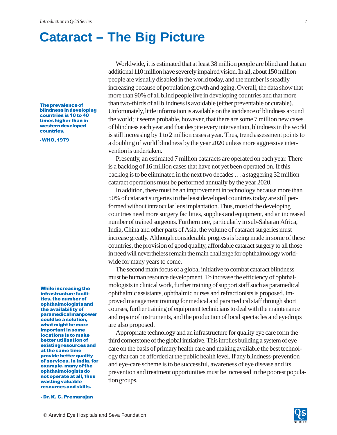# <span id="page-7-0"></span>**Cataract – The Big Picture**

The prevalence of blindness in developing countries is 10 to 40 times higher than in western developed countries.

-WHO, 1979

While increasing the infrastructure facilities, the number of ophthalmologists and the availability of paramedical manpower could be a solution, what might be more important in some locations is to make better utilisation of existing resources and at the same time provide better quality of services. In India, for example, many of the ophthalmologists do not operate at all, thus wasting valuable resources and skills.

- Dr. K. C. Premarajan

Worldwide, it is estimated that at least 38 million people are blind and that an additional 110 million have severely impaired vision. In all, about 150 million people are visually disabled in the world today, and the number is steadily increasing because of population growth and aging. Overall, the data show that more than 90% of all blind people live in developing countries and that more than two-thirds of all blindness is avoidable (either preventable or curable). Unfortunately, little information is available on the incidence of blindness around the world; it seems probable, however, that there are some 7 million new cases of blindness each year and that despite every intervention, blindness in the world is still increasing by 1 to 2 million cases a year. Thus, trend assessment points to a doubling of world blindness by the year 2020 unless more aggressive intervention is undertaken.

Presently, an estimated 7 million cataracts are operated on each year. There is a backlog of 16 million cases that have not yet been operated on. If this backlog is to be eliminated in the next two decades … a staggering 32 million cataract operations must be performed annually by the year 2020.

In addition, there must be an improvement in technology because more than 50% of cataract surgeries in the least developed countries today are still performed without intraocular lens implantation. Thus, most of the developing countries need more surgery facilities, supplies and equipment, and an increased number of trained surgeons. Furthermore, particularly in sub-Saharan Africa, India, China and other parts of Asia, the volume of cataract surgeries must increase greatly. Although considerable progress is being made in some of these countries, the provision of good quality, affordable cataract surgery to all those in need will nevertheless remain the main challenge for ophthalmology worldwide for many years to come.

The second main focus of a global initiative to combat cataract blindness must be human resource development. To increase the efficiency of ophthalmologists in clinical work, further training of support staff such as paramedical ophthalmic assistants, ophthalmic nurses and refractionists is proposed. Improved management training for medical and paramedical staff through short courses, further training of equipment technicians to deal with the maintenance and repair of instruments, and the production of local spectacles and eyedrops are also proposed.

Appropriate technology and an infrastructure for quality eye care form the third cornerstone of the global initiative. This implies building a system of eye care on the basis of primary health care and making available the best technology that can be afforded at the public health level. If any blindness-prevention and eye-care scheme is to be successful, awareness of eye disease and its prevention and treatment opportunities must be increased in the poorest population groups.

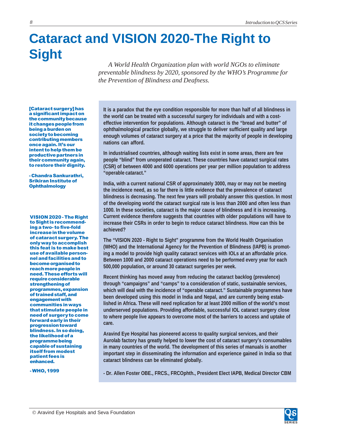# <span id="page-8-0"></span>**Cataract and VISION 2020-The Right to Sight**

*A World Health Organization plan with world NGOs to eliminate preventable blindness by 2020, sponsored by the WHO's Programme for the Prevention of Blindness and Deafness.*

[Cataract surgery] has a significant impact on the community because it changes people from being a burden on society to becoming contributing members once again. It's our intent to help them be productive partners in their community again, to restore their dignity.

- Chandra Sankurathri, Srikiran Institute of **Ophthalmology** 

VISION 2020 - The Right to Sight is recommending a two- to five-fold increase in the volume of cataract surgery. The only way to accomplish this feat is to make best use of available personnel and facilities and to become organised to reach more people in need. These efforts will require considerable strengthening of programmes, expansion of trained staff, and engagement with communities in ways that stimulate people in need of surgery to come forward early in their progression toward blindness. In so doing, the likelihood of a programme being capable of sustaining **itself from modest** patient fees is enhanced.

-WHO, 1999

**It is a paradox that the eye condition responsible for more than half of all blindness in the world can be treated with a successful surgery for individuals and with a costeffective intervention for populations. Although cataract is the "bread and butter" of ophthalmological practice globally, we struggle to deliver sufficient quality and large enough volumes of cataract surgery at a price that the majority of people in developing nations can afford.**

**In industrialised countries, although waiting lists exist in some areas, there are few people "blind" from unoperated cataract. These countries have cataract surgical rates (CSR) of between 4000 and 6000 operations per year per million population to address "operable cataract."**

**India, with a current national CSR of approximately 3000, may or may not be meeting the incidence need, as so far there is little evidence that the prevalence of cataract blindness is decreasing. The next few years will probably answer this question. In most of the developing world the cataract surgical rate is less than 2000 and often less than 1000. In these societies, cataract is the major cause of blindness and it is increasing. Current evidence therefore suggests that countries with older populations will have to increase their CSRs in order to begin to reduce cataract blindness. How can this be achieved?**

**The "VISION 2020 - Right to Sight" programme from the World Health Organisation (WHO) and the International Agency for the Prevention of Blindness (IAPB) is promoting a model to provide high quality cataract services with IOLs at an affordable price. Between 1000 and 2000 cataract operations need to be performed every year for each 500,000 population, or around 30 cataract surgeries per week.**

**Recent thinking has moved away from reducing the cataract backlog (prevalence) through "campaigns" and "camps" to a consideration of static, sustainable services, which will deal with the incidence of "operable cataract." Sustainable programmes have been developed using this model in India and Nepal, and are currently being established in Africa. These will need replication for at least 2000 million of the world's most underserved populations. Providing affordable, successful IOL cataract surgery close to where people live appears to overcome most of the barriers to access and uptake of care.**

**Aravind Eye Hospital has pioneered access to quality surgical services, and their Aurolab factory has greatly helped to lower the cost of cataract surgery's consumables in many countries of the world. The development of this series of manuals is another important step in disseminating the information and experience gained in India so that cataract blindness can be eliminated globally.**

**- Dr. Allen Foster OBE., FRCS., FRCOphth., President Elect IAPB, Medical Director CBM**

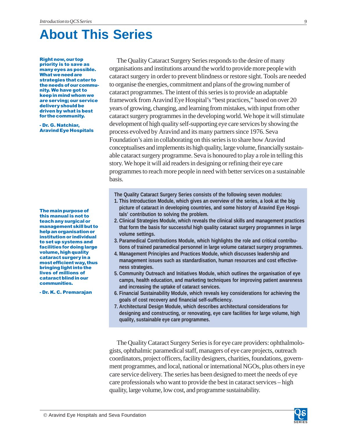# <span id="page-9-0"></span>**About This Series**

**Right now, our top** priority is to save as many eyes as possible. What we need are strategies that cater to the needs of our community. We have got to keep in mind whom we are serving; our service delivery should be driven by what is best for the community.

- Dr. G. Natchiar, **Aravind Eye Hospitals** 

The main purpose of this manual is not to teach any surgical or management skill but to help an organisation or institution or individual to set up systems and facilities for doing large volume, high quality cataract surgery in a most efficient way, thus bringing light into the lives of millions of cataract blind in our communities.

- Dr. K. C. Premarajan

The Quality Cataract Surgery Series responds to the desire of many organisations and institutions around the world to provide more people with cataract surgery in order to prevent blindness or restore sight. Tools are needed to organise the energies, commitment and plans of the growing number of cataract programmes. The intent of this series is to provide an adaptable framework from Aravind Eye Hospital's "best practices," based on over 20 years of growing, changing, and learning from mistakes, with input from other cataract surgery programmes in the developing world. We hope it will stimulate development of high quality self-supporting eye care services by showing the process evolved by Aravind and its many partners since 1976. Seva Foundation's aim in collaborating on this series is to share how Aravind conceptualises and implements its high quality, large volume, financially sustainable cataract surgery programme. Seva is honoured to play a role in telling this story. We hope it will aid readers in designing or refining their eye care programmes to reach more people in need with better services on a sustainable basis.

**The Quality Cataract Surgery Series consists of the following seven modules:**

- **1. This Introduction Module, which gives an overview of the series, a look at the big picture of cataract in developing countries, and some history of Aravind Eye Hospitals' contribution to solving the problem.**
- **2. Clinical Strategies Module, which reveals the clinical skills and management practices that form the basis for successful high quality cataract surgery programmes in large volume settings.**
- **3. Paramedical Contributions Module, which highlights the role and critical contributions of trained paramedical personnel in large volume cataract surgery programmes.**
- **4. Management Principles and Practices Module, which discusses leadership and management issues such as standardisation, human resources and cost effectiveness strategies.**
- **5. Community Outreach and Initiatives Module, which outlines the organisation of eye camps, health education, and marketing techniques for improving patient awareness and increasing the uptake of cataract services.**
- **6. Financial Sustainability Module, which reveals key considerations for achieving the goals of cost recovery and financial self-sufficiency.**
- **7. Architectural Design Module, which describes architectural considerations for designing and constructing, or renovating, eye care facilities for large volume, high quality, sustainable eye care programmes.**

The Quality Cataract Surgery Series is for eye care providers: ophthalmologists, ophthalmic paramedical staff, managers of eye care projects, outreach coordinators, project officers, facility designers, charities, foundations, government programmes, and local, national or international NGOs, plus others in eye care service delivery. The series has been designed to meet the needs of eye care professionals who want to provide the best in cataract services – high quality, large volume, low cost, and programme sustainability.

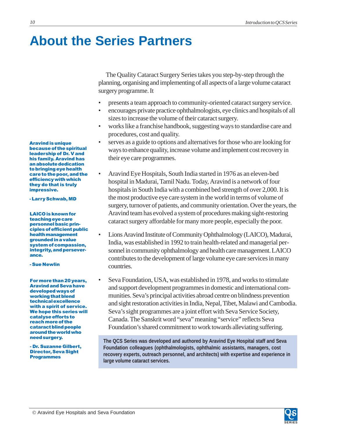# <span id="page-10-0"></span>**About the Series Partners**

The Quality Cataract Surgery Series takes you step-by-step through the planning, organising and implementing of all aspects of a large volume cataract surgery programme. It

- presents a team approach to community-oriented cataract surgery service.
- encourages private practice ophthalmologists, eye clinics and hospitals of all sizes to increase the volume of their cataract surgery.
- works like a franchise handbook, suggesting ways to standardise care and procedures, cost and quality.
- serves as a guide to options and alternatives for those who are looking for ways to enhance quality, increase volume and implement cost recovery in their eye care programmes.
- Aravind Eye Hospitals, South India started in 1976 as an eleven-bed hospital in Madurai, Tamil Nadu. Today, Aravind is a network of four hospitals in South India with a combined bed strength of over 2,000. It is the most productive eye care system in the world in terms of volume of surgery, turnover of patients, and community orientation. Over the years, the Aravind team has evolved a system of procedures making sight-restoring cataract surgery affordable for many more people, especially the poor.
- Lions Aravind Institute of Community Ophthalmology (LAICO), Madurai, India, was established in 1992 to train health-related and managerial personnel in community ophthalmology and health care management. LAICO contributes to the development of large volume eye care services in many countries.
- Seva Foundation, USA, was established in 1978, and works to stimulate and support development programmes in domestic and international communities. Seva's principal activities abroad centre on blindness prevention and sight restoration activities in India, Nepal, Tibet, Malawi and Cambodia. Seva's sight programmes are a joint effort with Seva Service Society, Canada. The Sanskrit word "seva" meaning "service" reflects Seva Foundation's shared commitment to work towards alleviating suffering.

**The QCS Series was developed and authored by Aravind Eye Hospital staff and Seva Foundation colleagues (ophthalmologists, ophthalmic assistants, managers, cost recovery experts, outreach personnel, and architects) with expertise and experience in large volume cataract services.**

**Aravind is unique** because of the spiritual leadership of Dr. V and his family. Aravind has an absolute dedication to bringing eye health care to the poor, and the efficiency with which they do that is truly impressive.

- Larry Schwab, MD

**LAICO** is known for teaching eye care personnel basic principles of efficient public health management grounded in a value system of compassion, integrity, and perseverance.

- Sue Newlin

For more than 20 years, **Aravind and Seva have** developed ways of working that blend technical excellence with a spirit of service. We hope this series will catalyse efforts to reach more of the cataract blind people around the world who need surgery.

- Dr. Suzanne Gilbert, **Director, Seva Sight Programmes** 

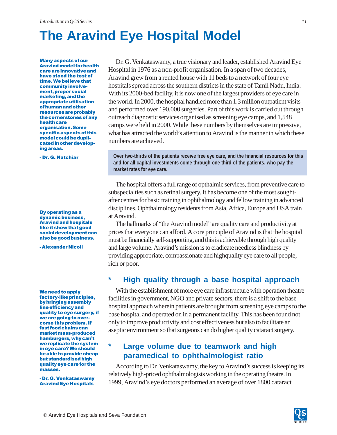# <span id="page-11-0"></span>**The Aravind Eye Hospital Model**

**Many aspects of our Aravind model for health** care are innovative and have stood the test of time. We believe that community involvement, proper social marketing, and the appropriate utilisation of human and other resources are probably the cornerstones of any health care organisation. Some specific aspects of this model could be duplicated in other developing areas.

- Dr. G. Natchiar

**By operating as a** dynamic business, **Aravind and hospitals** like it show that good social development can also be good business.

- Alexander Nicoll

We need to apply factory-like principles, by bringing assembly line efficiency and quality to eye surgery, if we are going to overcome this problem. If fast food chains can market mass-produced hamburgers, why can't we replicate the system in eye care? We should be able to provide cheap but standardised high quality eye care for the masses.

- Dr. G. Venkataswamy Aravind Eye Hospitals

Dr. G. Venkataswamy, a true visionary and leader, established Aravind Eye Hospital in 1976 as a non-profit organisation. In a span of two decades, Aravind grew from a rented house with 11 beds to a network of four eye hospitals spread across the southern districts in the state of Tamil Nadu, India. With its 2000-bed facility, it is now one of the largest providers of eye care in the world. In 2000, the hospital handled more than 1.3 million outpatient visits and performed over 190,000 surgeries. Part of this work is carried out through outreach diagnostic services organised as screening eye camps, and 1,548 camps were held in 2000. While these numbers by themselves are impressive, what has attracted the world's attention to Aravind is the manner in which these numbers are achieved.

**Over two-thirds of the patients receive free eye care, and the financial resources for this and for all capital investments come through one third of the patients, who pay the market rates for eye care.**

The hospital offers a full range of opthalmic services, from preventive care to subspecialties such as retinal surgery. It has become one of the most soughtafter centres for basic training in ophthalmology and fellow training in advanced disciplines. Ophthalmology residents from Asia, Africa, Europe and USA train at Aravind.

The hallmarks of "the Aravind model" are quality care and productivity at prices that everyone can afford. A core principle of Aravind is that the hospital must be financially self-supporting, and this is achievable through high quality and large volume. Aravind's mission is to eradicate needless blindness by providing appropriate, compassionate and highquality eye care to all people, rich or poor.

### **\* High quality through a base hospital approach**

With the establishment of more eye care infrastructure with operation theatre facilities in government, NGO and private sectors, there is a shift to the base hospital approach wherein patients are brought from screening eye camps to the base hospital and operated on in a permanent facility. This has been found not only to improve productivity and cost effectiveness but also to facilitate an aseptic environment so that surgeons can do higher quality cataract surgery.

### **\* Large volume due to teamwork and high paramedical to ophthalmologist ratio**

According to Dr. Venkataswamy, the key to Aravind's success is keeping its relatively high-priced ophthalmologists working in the operating theatre. In 1999, Aravind's eye doctors performed an average of over 1800 cataract

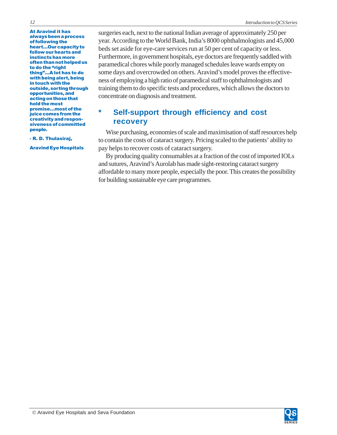**At Aravind it has** always been a process of following the heart...Our capacity to follow our hearts and instincts has more often than not helped us to do the "right thing"...A lot has to do with being alert, being in touch with the outside, sorting through opportunities, and acting on those that hold the most promise...most of the juice comes from the creativity and responsiveness of committed people.

- R. D. Thulasiraj,

Aravind Eye Hospitals

surgeries each, next to the national Indian average of approximately 250 per year. According to the World Bank, India's 8000 ophthalmologists and 45,000 beds set aside for eye-care services run at 50 per cent of capacity or less. Furthermore, in government hospitals, eye doctors are frequently saddled with paramedical chores while poorly managed schedules leave wards empty on some days and overcrowded on others. Aravind's model proves the effectiveness of employing a high ratio of paramedical staff to ophthalmologists and training them to do specific tests and procedures, which allows the doctors to concentrate on diagnosis and treatment.

## **\* Self-support through efficiency and cost recovery**

Wise purchasing, economies of scale and maximisation of staff resources help to contain the costs of cataract surgery. Pricing scaled to the patients' ability to pay helps to recover costs of cataract surgery.

By producing quality consumables at a fraction of the cost of imported IOLs and sutures, Aravind's Aurolab has made sight-restoring cataract surgery affordable to many more people, especially the poor. This creates the possibility for building sustainable eye care programmes.

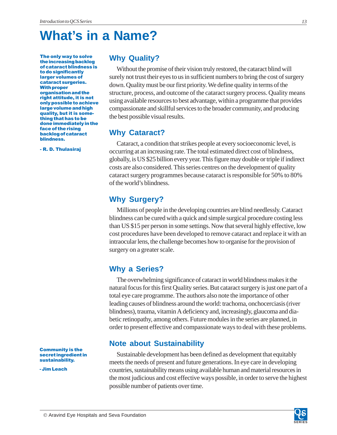# <span id="page-13-0"></span>**What's in a Name?**

The only way to solve the increasing backlog of cataract blindness is to do significantly larger volumes of cataract surgeries. **With proper** organisation and the right attitude, it is not only possible to achieve large volume and high quality, but it is something that has to be done immediately in the face of the rising backlog of cataract blindness.

- R. D. Thulasiraj

### **Why Quality?**

Without the promise of their vision truly restored, the cataract blind will surely not trust their eyes to us in sufficient numbers to bring the cost of surgery down. Quality must be our first priority. We define quality in terms of the structure, process, and outcome of the cataract surgery process. Quality means using available resources to best advantage, within a programme that provides compassionate and skillful services to the broader community, and producing the best possible visual results.

### **Why Cataract?**

Cataract, a condition that strikes people at every socioeconomic level, is occurring at an increasing rate. The total estimated direct cost of blindness, globally, is US \$25 billion every year. This figure may double or triple if indirect costs are also considered. This series centres on the development of quality cataract surgery programmes because cataract is responsible for 50% to 80% of the world's blindness.

### **Why Surgery?**

Millions of people in the developing countries are blind needlessly. Cataract blindness can be cured with a quick and simple surgical procedure costing less than US \$15 per person in some settings. Now that several highly effective, low cost procedures have been developed to remove cataract and replace it with an intraocular lens, the challenge becomes how to organise for the provision of surgery on a greater scale.

### **Why a Series?**

The overwhelming significance of cataract in world blindness makes it the natural focus for this first Quality series. But cataract surgery is just one part of a total eye care programme. The authors also note the importance of other leading causes of blindness around the world: trachoma, onchocerciasis (river blindness), trauma, vitamin A deficiency and, increasingly, glaucoma and diabetic retinopathy, among others. Future modules in the series are planned, in order to present effective and compassionate ways to deal with these problems.

### **Note about Sustainability**

Sustainable development has been defined as development that equitably meets the needs of present and future generations. In eye care in developing countries, sustainability means using available human and material resources in the most judicious and cost effective ways possible, in order to serve the highest possible number of patients over time.

**Community is the** secret ingredient in sustainability.

- Jim Leach

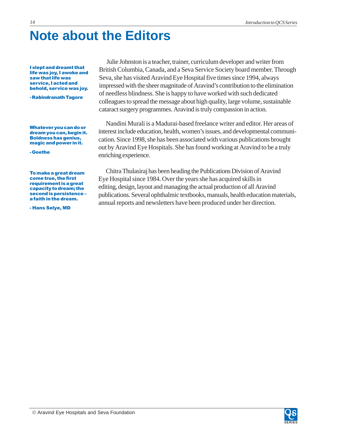# **Note about the Editors**

**I slept and dreamt that** life was joy, I awoke and saw that life was service, I acted and behold, service was joy.

- Rabindranath Tagore

Whatever you can do or dream you can, begin it. Boldness has genius, magic and power in it.

- Goethe

To make a great dream come true, the first requirement is a great capacity to dream; the second is persistencea faith in the dream.

- Hans Selye, MD

Julie Johnston is a teacher, trainer, curriculum developer and writer from British Columbia, Canada, and a Seva Service Society board member. Through Seva, she has visited Aravind Eye Hospital five times since 1994, always impressed with the sheer magnitude of Aravind's contribution to the elimination of needless blindness. She is happy to have worked with such dedicated colleagues to spread the message about high quality, large volume, sustainable cataract surgery programmes. Aravind is truly compassion in action.

Nandini Murali is a Madurai-based freelance writer and editor. Her areas of interest include education, health, women's issues, and developmental communication. Since 1998, she has been associated with various publications brought out by Aravind Eye Hospitals. She has found working at Aravind to be a truly enriching experience.

Chitra Thulasiraj has been heading the Publications Division of Aravind Eye Hospital since 1984. Over the years she has acquired skills in editing, design, layout and managing the actual production of all Aravind publications. Several ophthalmic textbooks, manuals, health education materials, annual reports and newsletters have been produced under her direction.

<span id="page-14-0"></span>